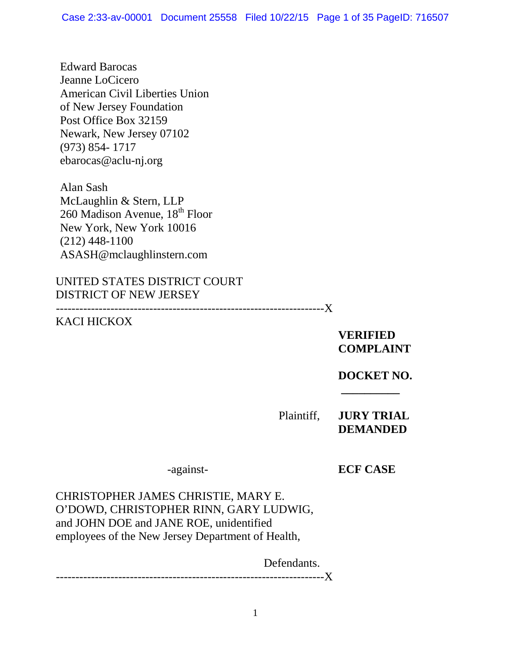Edward Barocas Jeanne LoCicero American Civil Liberties Union of New Jersey Foundation Post Office Box 32159 Newark, New Jersey 07102 (973) 854- 1717 ebarocas@aclu-nj.org

Alan Sash McLaughlin & Stern, LLP 260 Madison Avenue, 18<sup>th</sup> Floor New York, New York 10016 (212) 448-1100 ASASH@mclaughlinstern.com

UNITED STATES DISTRICT COURT DISTRICT OF NEW JERSEY

---------------------------------------------------------------------X

## KACI HICKOX

**VERIFIED COMPLAINT**

**DOCKET NO.**

**\_\_\_\_\_\_\_\_\_\_**

Plaintiff, **JURY TRIAL DEMANDED**

-against- **ECF CASE**

CHRISTOPHER JAMES CHRISTIE, MARY E. O'DOWD, CHRISTOPHER RINN, GARY LUDWIG, and JOHN DOE and JANE ROE, unidentified employees of the New Jersey Department of Health,

Defendants.

---------------------------------------------------------------------X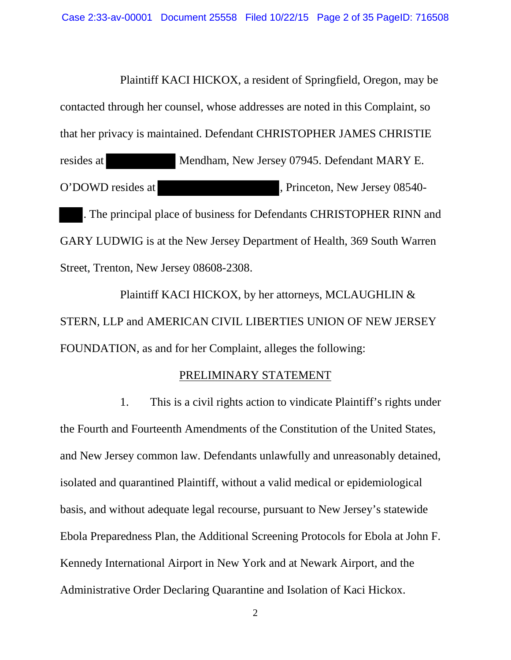Plaintiff KACI HICKOX, a resident of Springfield, Oregon, may be contacted through her counsel, whose addresses are noted in this Complaint, so that her privacy is maintained. Defendant CHRISTOPHER JAMES CHRISTIE resides at Mendham, New Jersey 07945. Defendant MARY E. O'DOWD resides at  $\blacksquare$ , Princeton, New Jersey 08540-. The principal place of business for Defendants CHRISTOPHER RINN and GARY LUDWIG is at the New Jersey Department of Health, 369 South Warren Street, Trenton, New Jersey 08608-2308.

Plaintiff KACI HICKOX, by her attorneys, MCLAUGHLIN & STERN, LLP and AMERICAN CIVIL LIBERTIES UNION OF NEW JERSEY FOUNDATION, as and for her Complaint, alleges the following:

# PRELIMINARY STATEMENT

1. This is a civil rights action to vindicate Plaintiff's rights under the Fourth and Fourteenth Amendments of the Constitution of the United States, and New Jersey common law. Defendants unlawfully and unreasonably detained, isolated and quarantined Plaintiff, without a valid medical or epidemiological basis, and without adequate legal recourse, pursuant to New Jersey's statewide Ebola Preparedness Plan, the Additional Screening Protocols for Ebola at John F. Kennedy International Airport in New York and at Newark Airport, and the Administrative Order Declaring Quarantine and Isolation of Kaci Hickox.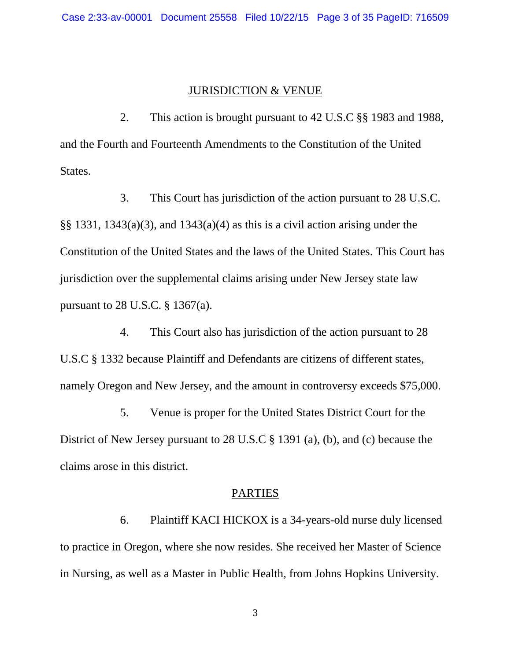#### JURISDICTION & VENUE

2. This action is brought pursuant to 42 U.S.C §§ 1983 and 1988, and the Fourth and Fourteenth Amendments to the Constitution of the United States.

3. This Court has jurisdiction of the action pursuant to 28 U.S.C. §§ 1331, 1343(a)(3), and 1343(a)(4) as this is a civil action arising under the Constitution of the United States and the laws of the United States. This Court has jurisdiction over the supplemental claims arising under New Jersey state law pursuant to 28 U.S.C. § 1367(a).

4. This Court also has jurisdiction of the action pursuant to 28 U.S.C § 1332 because Plaintiff and Defendants are citizens of different states, namely Oregon and New Jersey, and the amount in controversy exceeds \$75,000.

5. Venue is proper for the United States District Court for the District of New Jersey pursuant to 28 U.S.C § 1391 (a), (b), and (c) because the claims arose in this district.

#### PARTIES

6. Plaintiff KACI HICKOX is a 34-years-old nurse duly licensed to practice in Oregon, where she now resides. She received her Master of Science in Nursing, as well as a Master in Public Health, from Johns Hopkins University.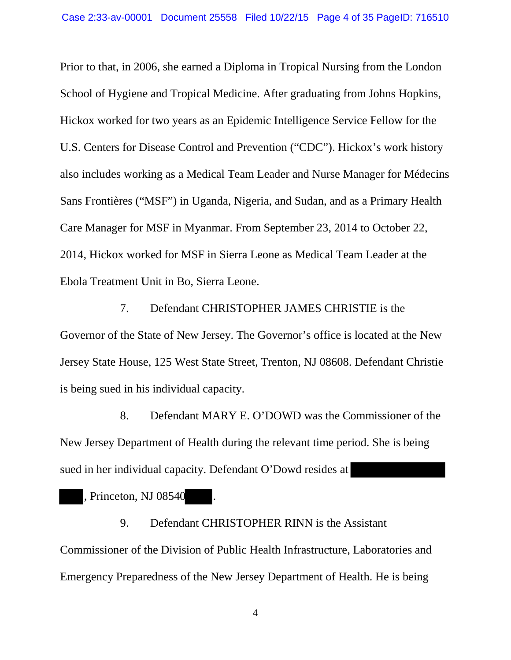Prior to that, in 2006, she earned a Diploma in Tropical Nursing from the London School of Hygiene and Tropical Medicine. After graduating from Johns Hopkins, Hickox worked for two years as an Epidemic Intelligence Service Fellow for the U.S. Centers for Disease Control and Prevention ("CDC"). Hickox's work history also includes working as a Medical Team Leader and Nurse Manager for Médecins Sans Frontières ("MSF") in Uganda, Nigeria, and Sudan, and as a Primary Health Care Manager for MSF in Myanmar. From September 23, 2014 to October 22, 2014, Hickox worked for MSF in Sierra Leone as Medical Team Leader at the Ebola Treatment Unit in Bo, Sierra Leone.

7. Defendant CHRISTOPHER JAMES CHRISTIE is the Governor of the State of New Jersey. The Governor's office is located at the New Jersey State House, 125 West State Street, Trenton, NJ 08608. Defendant Christie is being sued in his individual capacity.

8. Defendant MARY E. O'DOWD was the Commissioner of the New Jersey Department of Health during the relevant time period. She is being sued in her individual capacity. Defendant O'Dowd resides at

, Princeton, NJ 08540

9. Defendant CHRISTOPHER RINN is the Assistant Commissioner of the Division of Public Health Infrastructure, Laboratories and Emergency Preparedness of the New Jersey Department of Health. He is being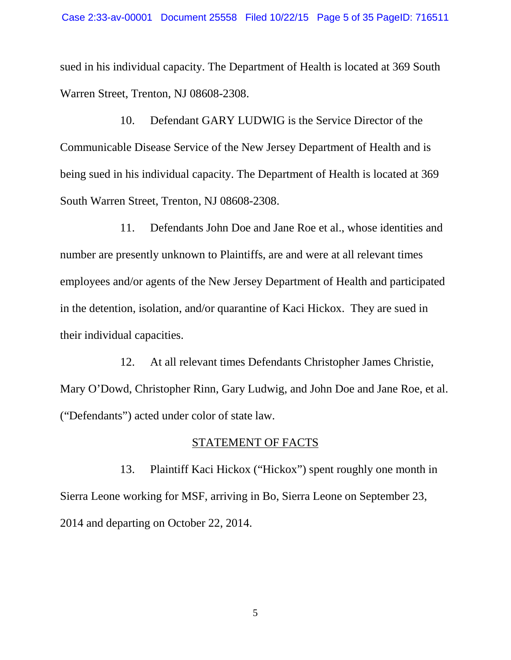sued in his individual capacity. The Department of Health is located at 369 South Warren Street, Trenton, NJ 08608-2308.

10. Defendant GARY LUDWIG is the Service Director of the Communicable Disease Service of the New Jersey Department of Health and is being sued in his individual capacity. The Department of Health is located at 369 South Warren Street, Trenton, NJ 08608-2308.

11. Defendants John Doe and Jane Roe et al., whose identities and number are presently unknown to Plaintiffs, are and were at all relevant times employees and/or agents of the New Jersey Department of Health and participated in the detention, isolation, and/or quarantine of Kaci Hickox. They are sued in their individual capacities.

12. At all relevant times Defendants Christopher James Christie, Mary O'Dowd, Christopher Rinn, Gary Ludwig, and John Doe and Jane Roe, et al. ("Defendants") acted under color of state law.

#### STATEMENT OF FACTS

13. Plaintiff Kaci Hickox ("Hickox") spent roughly one month in Sierra Leone working for MSF, arriving in Bo, Sierra Leone on September 23, 2014 and departing on October 22, 2014.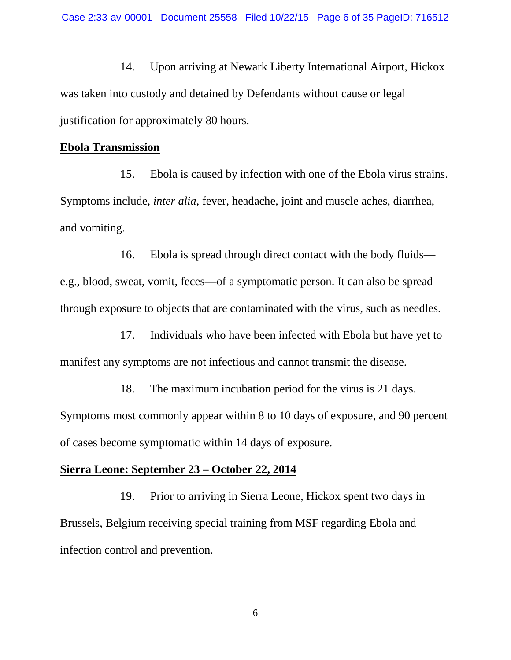14. Upon arriving at Newark Liberty International Airport, Hickox was taken into custody and detained by Defendants without cause or legal justification for approximately 80 hours.

#### **Ebola Transmission**

15. Ebola is caused by infection with one of the Ebola virus strains. Symptoms include, *inter alia*, fever, headache, joint and muscle aches, diarrhea, and vomiting.

16. Ebola is spread through direct contact with the body fluids e.g., blood, sweat, vomit, feces—of a symptomatic person. It can also be spread through exposure to objects that are contaminated with the virus, such as needles.

17. Individuals who have been infected with Ebola but have yet to manifest any symptoms are not infectious and cannot transmit the disease.

18. The maximum incubation period for the virus is 21 days. Symptoms most commonly appear within 8 to 10 days of exposure, and 90 percent of cases become symptomatic within 14 days of exposure.

### **Sierra Leone: September 23 – October 22, 2014**

19. Prior to arriving in Sierra Leone, Hickox spent two days in Brussels, Belgium receiving special training from MSF regarding Ebola and infection control and prevention.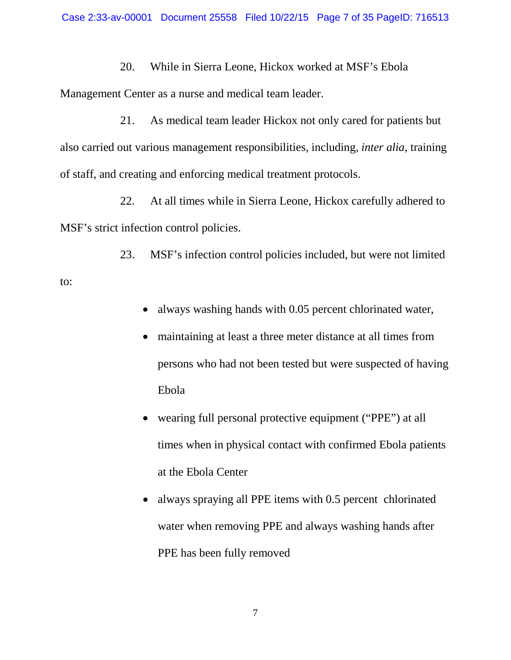20. While in Sierra Leone, Hickox worked at MSF's Ebola

Management Center as a nurse and medical team leader.

21. As medical team leader Hickox not only cared for patients but also carried out various management responsibilities, including, *inter alia*, training of staff, and creating and enforcing medical treatment protocols.

22. At all times while in Sierra Leone, Hickox carefully adhered to MSF's strict infection control policies.

23. MSF's infection control policies included, but were not limited

to:

- always washing hands with 0.05 percent chlorinated water,
- maintaining at least a three meter distance at all times from persons who had not been tested but were suspected of having Ebola
- wearing full personal protective equipment ("PPE") at all times when in physical contact with confirmed Ebola patients at the Ebola Center
- always spraying all PPE items with 0.5 percent chlorinated water when removing PPE and always washing hands after PPE has been fully removed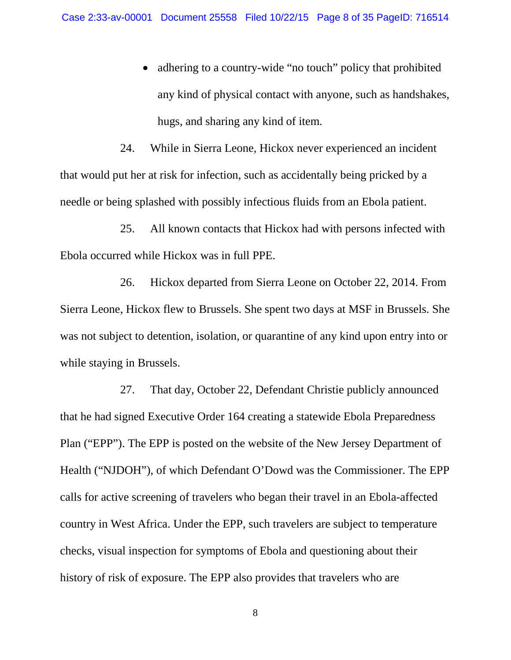adhering to a country-wide "no touch" policy that prohibited any kind of physical contact with anyone, such as handshakes, hugs, and sharing any kind of item.

24. While in Sierra Leone, Hickox never experienced an incident that would put her at risk for infection, such as accidentally being pricked by a needle or being splashed with possibly infectious fluids from an Ebola patient.

25. All known contacts that Hickox had with persons infected with Ebola occurred while Hickox was in full PPE.

26. Hickox departed from Sierra Leone on October 22, 2014. From Sierra Leone, Hickox flew to Brussels. She spent two days at MSF in Brussels. She was not subject to detention, isolation, or quarantine of any kind upon entry into or while staying in Brussels.

27. That day, October 22, Defendant Christie publicly announced that he had signed Executive Order 164 creating a statewide Ebola Preparedness Plan ("EPP"). The EPP is posted on the website of the New Jersey Department of Health ("NJDOH"), of which Defendant O'Dowd was the Commissioner. The EPP calls for active screening of travelers who began their travel in an Ebola-affected country in West Africa. Under the EPP, such travelers are subject to temperature checks, visual inspection for symptoms of Ebola and questioning about their history of risk of exposure. The EPP also provides that travelers who are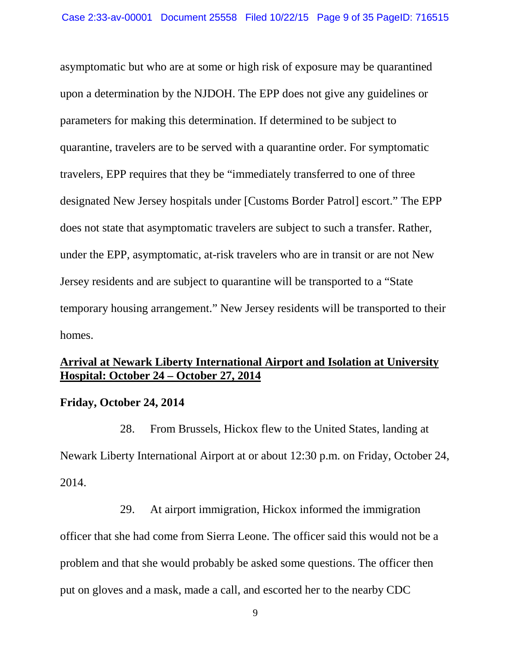asymptomatic but who are at some or high risk of exposure may be quarantined upon a determination by the NJDOH. The EPP does not give any guidelines or parameters for making this determination. If determined to be subject to quarantine, travelers are to be served with a quarantine order. For symptomatic travelers, EPP requires that they be "immediately transferred to one of three designated New Jersey hospitals under [Customs Border Patrol] escort." The EPP does not state that asymptomatic travelers are subject to such a transfer. Rather, under the EPP, asymptomatic, at-risk travelers who are in transit or are not New Jersey residents and are subject to quarantine will be transported to a "State temporary housing arrangement." New Jersey residents will be transported to their homes.

# **Arrival at Newark Liberty International Airport and Isolation at University Hospital: October 24 – October 27, 2014**

### **Friday, October 24, 2014**

28. From Brussels, Hickox flew to the United States, landing at Newark Liberty International Airport at or about 12:30 p.m. on Friday, October 24, 2014.

29. At airport immigration, Hickox informed the immigration officer that she had come from Sierra Leone. The officer said this would not be a problem and that she would probably be asked some questions. The officer then put on gloves and a mask, made a call, and escorted her to the nearby CDC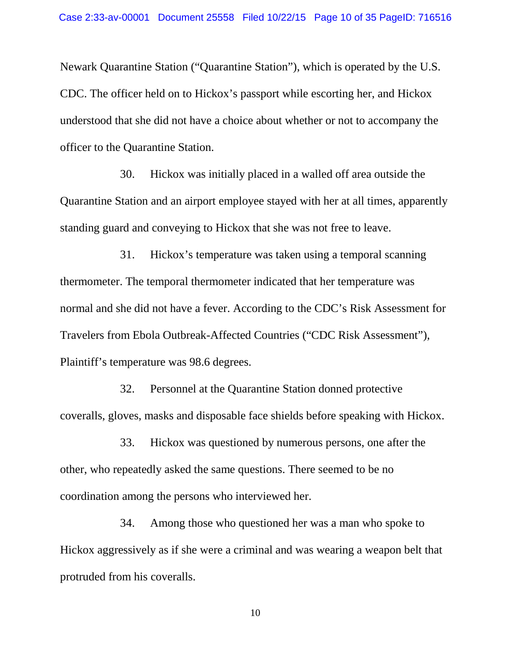Newark Quarantine Station ("Quarantine Station"), which is operated by the U.S. CDC. The officer held on to Hickox's passport while escorting her, and Hickox understood that she did not have a choice about whether or not to accompany the officer to the Quarantine Station.

30. Hickox was initially placed in a walled off area outside the Quarantine Station and an airport employee stayed with her at all times, apparently standing guard and conveying to Hickox that she was not free to leave.

31. Hickox's temperature was taken using a temporal scanning thermometer. The temporal thermometer indicated that her temperature was normal and she did not have a fever. According to the CDC's Risk Assessment for Travelers from Ebola Outbreak-Affected Countries ("CDC Risk Assessment"), Plaintiff's temperature was 98.6 degrees.

32. Personnel at the Quarantine Station donned protective coveralls, gloves, masks and disposable face shields before speaking with Hickox.

33. Hickox was questioned by numerous persons, one after the other, who repeatedly asked the same questions. There seemed to be no coordination among the persons who interviewed her.

34. Among those who questioned her was a man who spoke to Hickox aggressively as if she were a criminal and was wearing a weapon belt that protruded from his coveralls.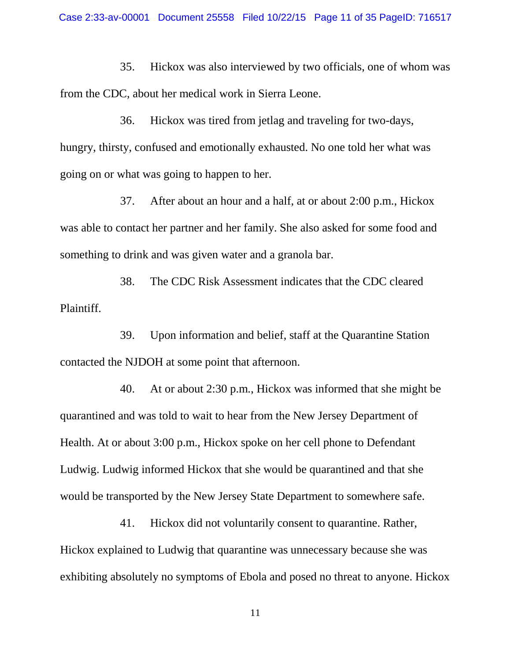35. Hickox was also interviewed by two officials, one of whom was from the CDC, about her medical work in Sierra Leone.

36. Hickox was tired from jetlag and traveling for two-days, hungry, thirsty, confused and emotionally exhausted. No one told her what was going on or what was going to happen to her.

37. After about an hour and a half, at or about 2:00 p.m., Hickox was able to contact her partner and her family. She also asked for some food and something to drink and was given water and a granola bar.

38. The CDC Risk Assessment indicates that the CDC cleared Plaintiff.

39. Upon information and belief, staff at the Quarantine Station contacted the NJDOH at some point that afternoon.

40. At or about 2:30 p.m., Hickox was informed that she might be quarantined and was told to wait to hear from the New Jersey Department of Health. At or about 3:00 p.m., Hickox spoke on her cell phone to Defendant Ludwig. Ludwig informed Hickox that she would be quarantined and that she would be transported by the New Jersey State Department to somewhere safe.

41. Hickox did not voluntarily consent to quarantine. Rather, Hickox explained to Ludwig that quarantine was unnecessary because she was exhibiting absolutely no symptoms of Ebola and posed no threat to anyone. Hickox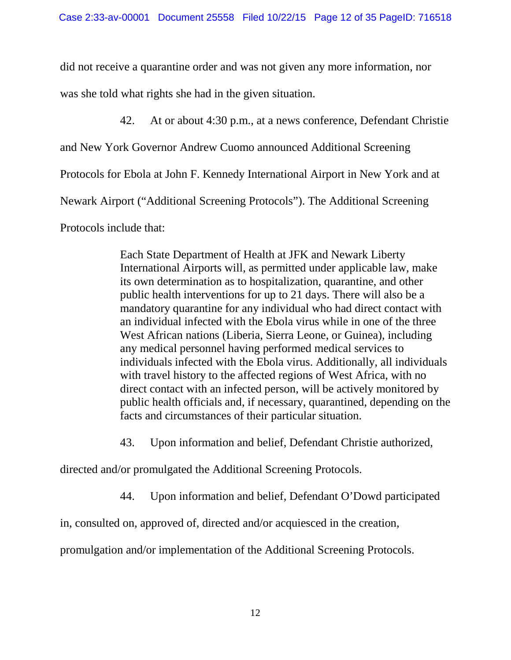did not receive a quarantine order and was not given any more information, nor

was she told what rights she had in the given situation.

42. At or about 4:30 p.m., at a news conference, Defendant Christie

and New York Governor Andrew Cuomo announced Additional Screening

Protocols for Ebola at John F. Kennedy International Airport in New York and at

Newark Airport ("Additional Screening Protocols"). The Additional Screening

Protocols include that:

Each State Department of Health at JFK and Newark Liberty International Airports will, as permitted under applicable law, make its own determination as to hospitalization, quarantine, and other public health interventions for up to 21 days. There will also be a mandatory quarantine for any individual who had direct contact with an individual infected with the Ebola virus while in one of the three West African nations (Liberia, Sierra Leone, or Guinea), including any medical personnel having performed medical services to individuals infected with the Ebola virus. Additionally, all individuals with travel history to the affected regions of West Africa, with no direct contact with an infected person, will be actively monitored by public health officials and, if necessary, quarantined, depending on the facts and circumstances of their particular situation.

43. Upon information and belief, Defendant Christie authorized,

directed and/or promulgated the Additional Screening Protocols.

44. Upon information and belief, Defendant O'Dowd participated

in, consulted on, approved of, directed and/or acquiesced in the creation,

promulgation and/or implementation of the Additional Screening Protocols.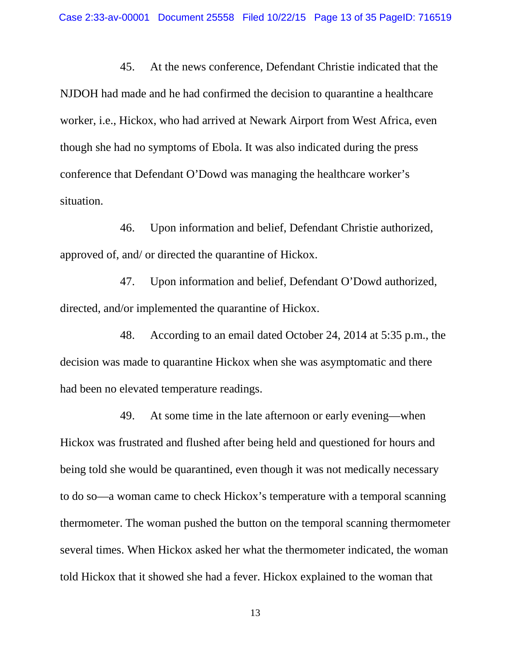45. At the news conference, Defendant Christie indicated that the NJDOH had made and he had confirmed the decision to quarantine a healthcare worker, i.e., Hickox, who had arrived at Newark Airport from West Africa, even though she had no symptoms of Ebola. It was also indicated during the press conference that Defendant O'Dowd was managing the healthcare worker's situation.

46. Upon information and belief, Defendant Christie authorized, approved of, and/ or directed the quarantine of Hickox.

47. Upon information and belief, Defendant O'Dowd authorized, directed, and/or implemented the quarantine of Hickox.

48. According to an email dated October 24, 2014 at 5:35 p.m., the decision was made to quarantine Hickox when she was asymptomatic and there had been no elevated temperature readings.

49. At some time in the late afternoon or early evening—when Hickox was frustrated and flushed after being held and questioned for hours and being told she would be quarantined, even though it was not medically necessary to do so—a woman came to check Hickox's temperature with a temporal scanning thermometer. The woman pushed the button on the temporal scanning thermometer several times. When Hickox asked her what the thermometer indicated, the woman told Hickox that it showed she had a fever. Hickox explained to the woman that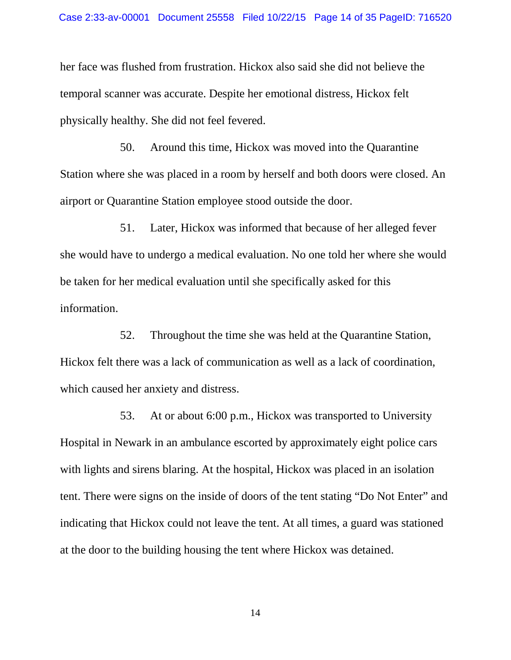her face was flushed from frustration. Hickox also said she did not believe the temporal scanner was accurate. Despite her emotional distress, Hickox felt physically healthy. She did not feel fevered.

50. Around this time, Hickox was moved into the Quarantine Station where she was placed in a room by herself and both doors were closed. An airport or Quarantine Station employee stood outside the door.

51. Later, Hickox was informed that because of her alleged fever she would have to undergo a medical evaluation. No one told her where she would be taken for her medical evaluation until she specifically asked for this information.

52. Throughout the time she was held at the Quarantine Station, Hickox felt there was a lack of communication as well as a lack of coordination, which caused her anxiety and distress.

53. At or about 6:00 p.m., Hickox was transported to University Hospital in Newark in an ambulance escorted by approximately eight police cars with lights and sirens blaring. At the hospital, Hickox was placed in an isolation tent. There were signs on the inside of doors of the tent stating "Do Not Enter" and indicating that Hickox could not leave the tent. At all times, a guard was stationed at the door to the building housing the tent where Hickox was detained.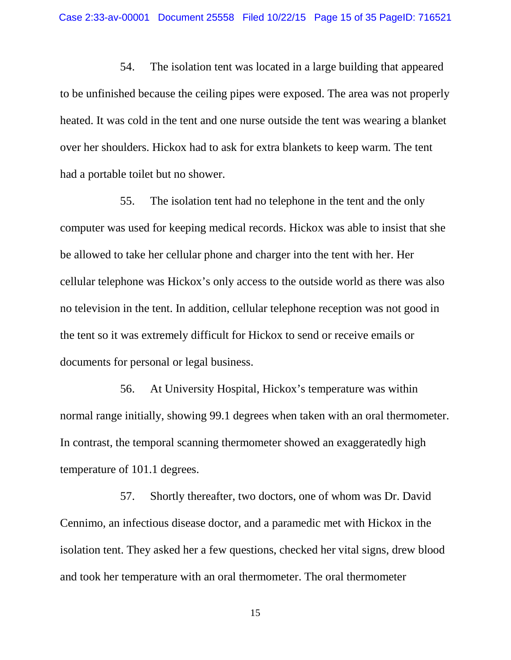54. The isolation tent was located in a large building that appeared to be unfinished because the ceiling pipes were exposed. The area was not properly heated. It was cold in the tent and one nurse outside the tent was wearing a blanket over her shoulders. Hickox had to ask for extra blankets to keep warm. The tent had a portable toilet but no shower.

55. The isolation tent had no telephone in the tent and the only computer was used for keeping medical records. Hickox was able to insist that she be allowed to take her cellular phone and charger into the tent with her. Her cellular telephone was Hickox's only access to the outside world as there was also no television in the tent. In addition, cellular telephone reception was not good in the tent so it was extremely difficult for Hickox to send or receive emails or documents for personal or legal business.

56. At University Hospital, Hickox's temperature was within normal range initially, showing 99.1 degrees when taken with an oral thermometer. In contrast, the temporal scanning thermometer showed an exaggeratedly high temperature of 101.1 degrees.

57. Shortly thereafter, two doctors, one of whom was Dr. David Cennimo, an infectious disease doctor, and a paramedic met with Hickox in the isolation tent. They asked her a few questions, checked her vital signs, drew blood and took her temperature with an oral thermometer. The oral thermometer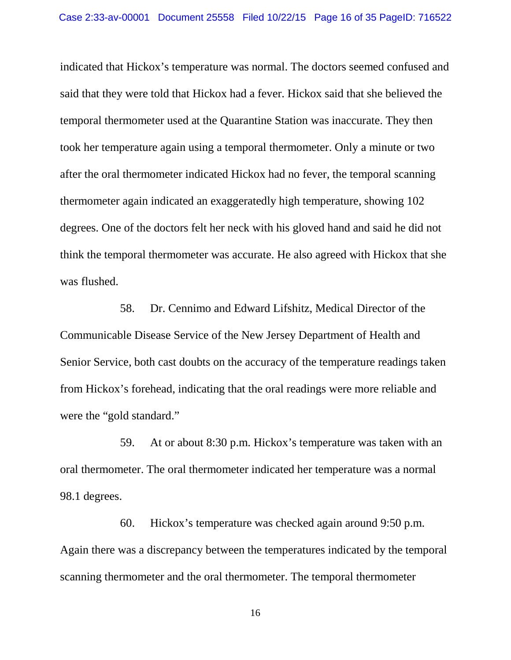indicated that Hickox's temperature was normal. The doctors seemed confused and said that they were told that Hickox had a fever. Hickox said that she believed the temporal thermometer used at the Quarantine Station was inaccurate. They then took her temperature again using a temporal thermometer. Only a minute or two after the oral thermometer indicated Hickox had no fever, the temporal scanning thermometer again indicated an exaggeratedly high temperature, showing 102 degrees. One of the doctors felt her neck with his gloved hand and said he did not think the temporal thermometer was accurate. He also agreed with Hickox that she was flushed.

58. Dr. Cennimo and Edward Lifshitz, Medical Director of the Communicable Disease Service of the New Jersey Department of Health and Senior Service, both cast doubts on the accuracy of the temperature readings taken from Hickox's forehead, indicating that the oral readings were more reliable and were the "gold standard."

59. At or about 8:30 p.m. Hickox's temperature was taken with an oral thermometer. The oral thermometer indicated her temperature was a normal 98.1 degrees.

60. Hickox's temperature was checked again around 9:50 p.m. Again there was a discrepancy between the temperatures indicated by the temporal scanning thermometer and the oral thermometer. The temporal thermometer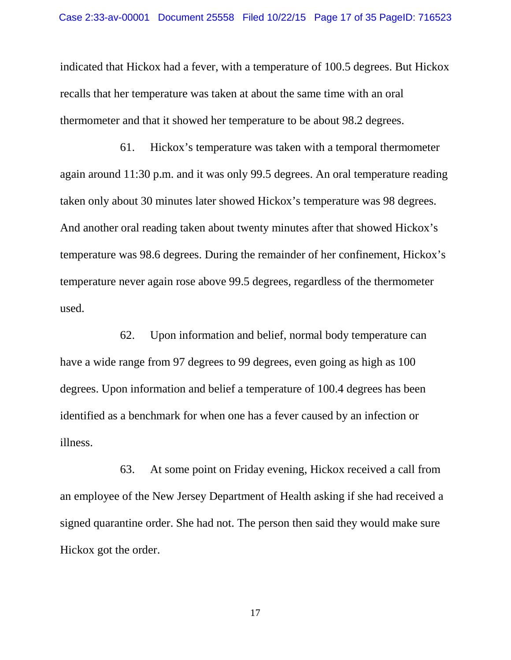indicated that Hickox had a fever, with a temperature of 100.5 degrees. But Hickox recalls that her temperature was taken at about the same time with an oral thermometer and that it showed her temperature to be about 98.2 degrees.

61. Hickox's temperature was taken with a temporal thermometer again around 11:30 p.m. and it was only 99.5 degrees. An oral temperature reading taken only about 30 minutes later showed Hickox's temperature was 98 degrees. And another oral reading taken about twenty minutes after that showed Hickox's temperature was 98.6 degrees. During the remainder of her confinement, Hickox's temperature never again rose above 99.5 degrees, regardless of the thermometer used.

62. Upon information and belief, normal body temperature can have a wide range from 97 degrees to 99 degrees, even going as high as 100 degrees. Upon information and belief a temperature of 100.4 degrees has been identified as a benchmark for when one has a fever caused by an infection or illness.

63. At some point on Friday evening, Hickox received a call from an employee of the New Jersey Department of Health asking if she had received a signed quarantine order. She had not. The person then said they would make sure Hickox got the order.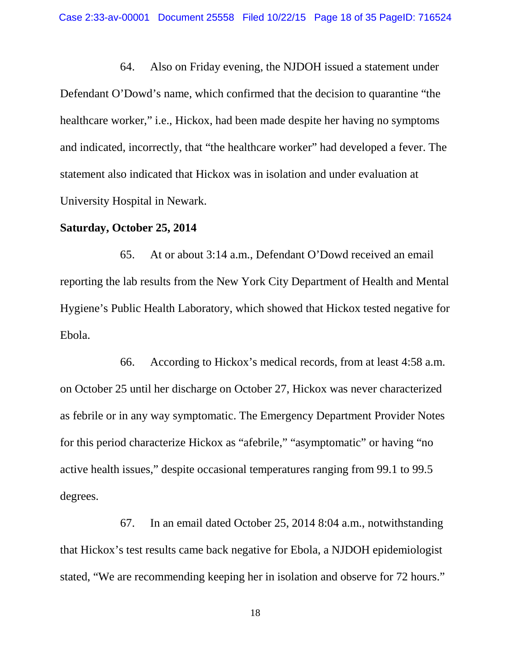64. Also on Friday evening, the NJDOH issued a statement under Defendant O'Dowd's name, which confirmed that the decision to quarantine "the healthcare worker," i.e., Hickox, had been made despite her having no symptoms and indicated, incorrectly, that "the healthcare worker" had developed a fever. The statement also indicated that Hickox was in isolation and under evaluation at University Hospital in Newark.

### **Saturday, October 25, 2014**

65. At or about 3:14 a.m., Defendant O'Dowd received an email reporting the lab results from the New York City Department of Health and Mental Hygiene's Public Health Laboratory, which showed that Hickox tested negative for Ebola.

66. According to Hickox's medical records, from at least 4:58 a.m. on October 25 until her discharge on October 27, Hickox was never characterized as febrile or in any way symptomatic. The Emergency Department Provider Notes for this period characterize Hickox as "afebrile," "asymptomatic" or having "no active health issues," despite occasional temperatures ranging from 99.1 to 99.5 degrees.

67. In an email dated October 25, 2014 8:04 a.m., notwithstanding that Hickox's test results came back negative for Ebola, a NJDOH epidemiologist stated, "We are recommending keeping her in isolation and observe for 72 hours."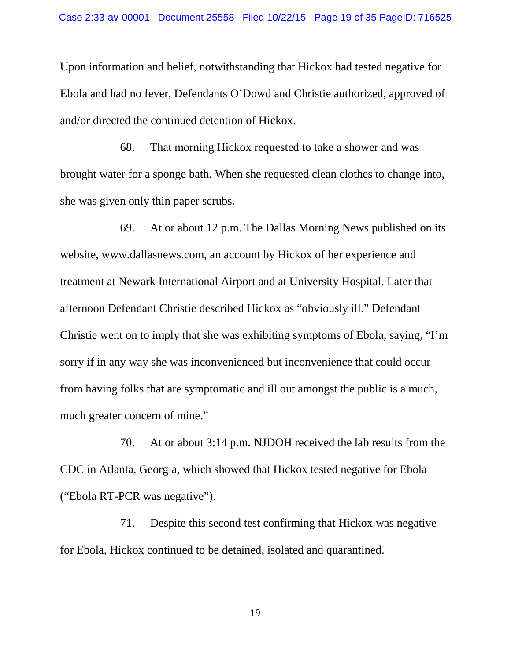Upon information and belief, notwithstanding that Hickox had tested negative for Ebola and had no fever, Defendants O'Dowd and Christie authorized, approved of and/or directed the continued detention of Hickox.

68. That morning Hickox requested to take a shower and was brought water for a sponge bath. When she requested clean clothes to change into, she was given only thin paper scrubs.

69. At or about 12 p.m. The Dallas Morning News published on its website, www.dallasnews.com, an account by Hickox of her experience and treatment at Newark International Airport and at University Hospital. Later that afternoon Defendant Christie described Hickox as "obviously ill." Defendant Christie went on to imply that she was exhibiting symptoms of Ebola, saying, "I'm sorry if in any way she was inconvenienced but inconvenience that could occur from having folks that are symptomatic and ill out amongst the public is a much, much greater concern of mine."

70. At or about 3:14 p.m. NJDOH received the lab results from the CDC in Atlanta, Georgia, which showed that Hickox tested negative for Ebola ("Ebola RT-PCR was negative").

71. Despite this second test confirming that Hickox was negative for Ebola, Hickox continued to be detained, isolated and quarantined.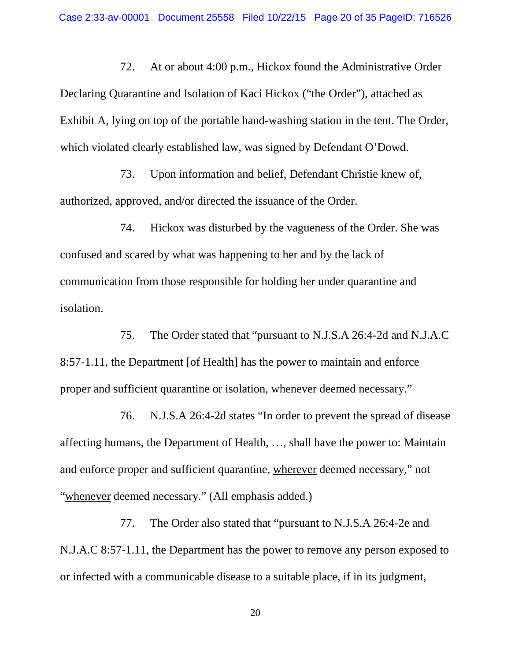72. At or about 4:00 p.m., Hickox found the Administrative Order Declaring Quarantine and Isolation of Kaci Hickox ("the Order"), attached as Exhibit A, lying on top of the portable hand-washing station in the tent. The Order, which violated clearly established law, was signed by Defendant O'Dowd.

73. Upon information and belief, Defendant Christie knew of, authorized, approved, and/or directed the issuance of the Order.

74. Hickox was disturbed by the vagueness of the Order. She was confused and scared by what was happening to her and by the lack of communication from those responsible for holding her under quarantine and isolation.

75. The Order stated that "pursuant to N.J.S.A 26:4-2d and N.J.A.C 8:57-1.11, the Department [of Health] has the power to maintain and enforce proper and sufficient quarantine or isolation, whenever deemed necessary."

76. N.J.S.A 26:4-2d states "In order to prevent the spread of disease affecting humans, the Department of Health, …, shall have the power to: Maintain and enforce proper and sufficient quarantine, wherever deemed necessary," not "whenever deemed necessary." (All emphasis added.)

77. The Order also stated that "pursuant to N.J.S.A 26:4-2e and N.J.A.C 8:57-1.11, the Department has the power to remove any person exposed to or infected with a communicable disease to a suitable place, if in its judgment,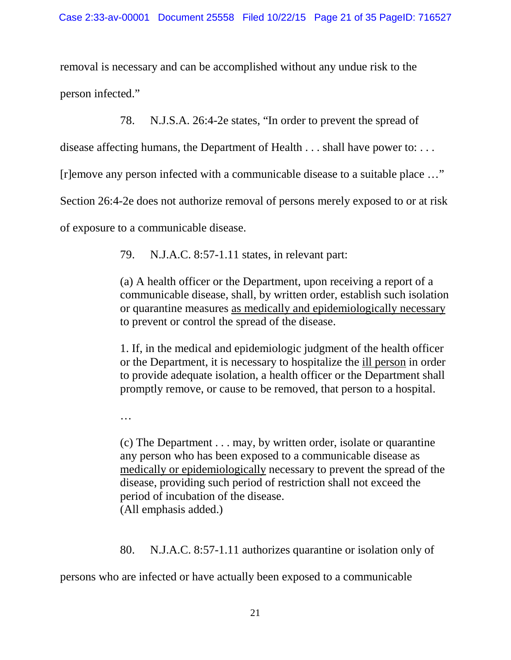removal is necessary and can be accomplished without any undue risk to the person infected."

78. N.J.S.A. 26:4-2e states, "In order to prevent the spread of

disease affecting humans, the Department of Health . . . shall have power to: . . .

[r]emove any person infected with a communicable disease to a suitable place …"

Section 26:4-2e does not authorize removal of persons merely exposed to or at risk

of exposure to a communicable disease.

79. N.J.A.C. 8:57-1.11 states, in relevant part:

(a) A health officer or the Department, upon receiving a report of a communicable disease, shall, by written order, establish such isolation or quarantine measures as medically and epidemiologically necessary to prevent or control the spread of the disease.

1. If, in the medical and epidemiologic judgment of the health officer or the Department, it is necessary to hospitalize the ill person in order to provide adequate isolation, a health officer or the Department shall promptly remove, or cause to be removed, that person to a hospital.

…

(c) The Department . . . may, by written order, isolate or quarantine any person who has been exposed to a communicable disease as medically or epidemiologically necessary to prevent the spread of the disease, providing such period of restriction shall not exceed the period of incubation of the disease. (All emphasis added.)

80. N.J.A.C. 8:57-1.11 authorizes quarantine or isolation only of

persons who are infected or have actually been exposed to a communicable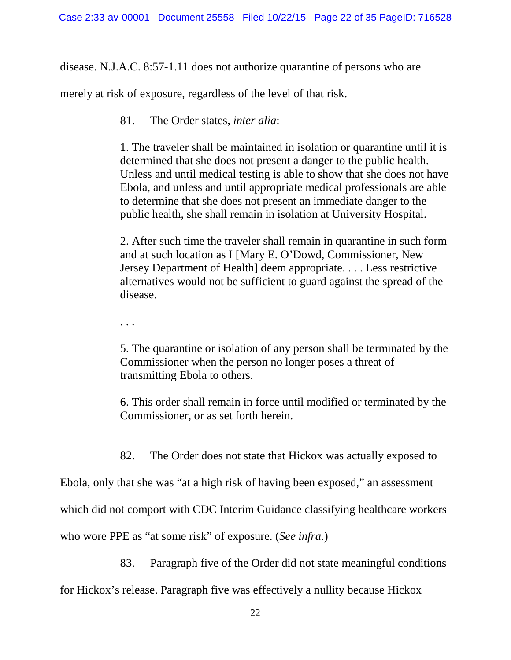disease. N.J.A.C. 8:57-1.11 does not authorize quarantine of persons who are

merely at risk of exposure, regardless of the level of that risk.

81. The Order states, *inter alia*:

1. The traveler shall be maintained in isolation or quarantine until it is determined that she does not present a danger to the public health. Unless and until medical testing is able to show that she does not have Ebola, and unless and until appropriate medical professionals are able to determine that she does not present an immediate danger to the public health, she shall remain in isolation at University Hospital.

2. After such time the traveler shall remain in quarantine in such form and at such location as I [Mary E. O'Dowd, Commissioner, New Jersey Department of Health] deem appropriate. . . . Less restrictive alternatives would not be sufficient to guard against the spread of the disease.

. . .

5. The quarantine or isolation of any person shall be terminated by the Commissioner when the person no longer poses a threat of transmitting Ebola to others.

6. This order shall remain in force until modified or terminated by the Commissioner, or as set forth herein.

82. The Order does not state that Hickox was actually exposed to

Ebola, only that she was "at a high risk of having been exposed," an assessment

which did not comport with CDC Interim Guidance classifying healthcare workers

who wore PPE as "at some risk" of exposure. (*See infra*.)

83. Paragraph five of the Order did not state meaningful conditions

for Hickox's release. Paragraph five was effectively a nullity because Hickox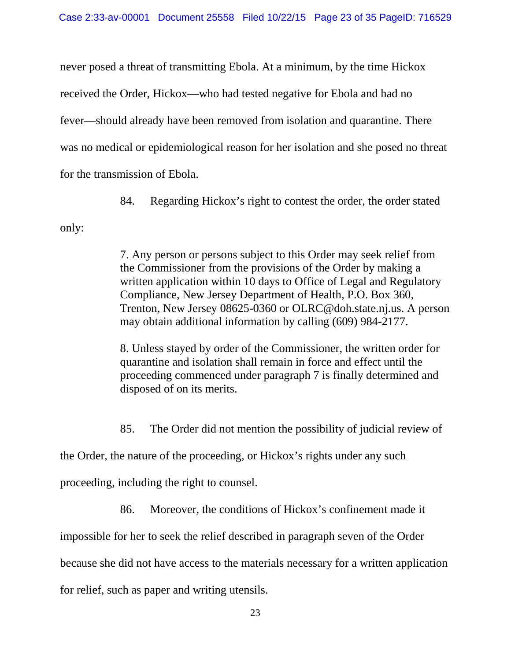never posed a threat of transmitting Ebola. At a minimum, by the time Hickox received the Order, Hickox—who had tested negative for Ebola and had no fever—should already have been removed from isolation and quarantine. There was no medical or epidemiological reason for her isolation and she posed no threat for the transmission of Ebola.

84. Regarding Hickox's right to contest the order, the order stated

only:

7. Any person or persons subject to this Order may seek relief from the Commissioner from the provisions of the Order by making a written application within 10 days to Office of Legal and Regulatory Compliance, New Jersey Department of Health, P.O. Box 360, Trenton, New Jersey 08625-0360 or OLRC@doh.state.nj.us. A person may obtain additional information by calling (609) 984-2177.

8. Unless stayed by order of the Commissioner, the written order for quarantine and isolation shall remain in force and effect until the proceeding commenced under paragraph 7 is finally determined and disposed of on its merits.

85. The Order did not mention the possibility of judicial review of

the Order, the nature of the proceeding, or Hickox's rights under any such

proceeding, including the right to counsel.

86. Moreover, the conditions of Hickox's confinement made it

impossible for her to seek the relief described in paragraph seven of the Order

because she did not have access to the materials necessary for a written application

for relief, such as paper and writing utensils.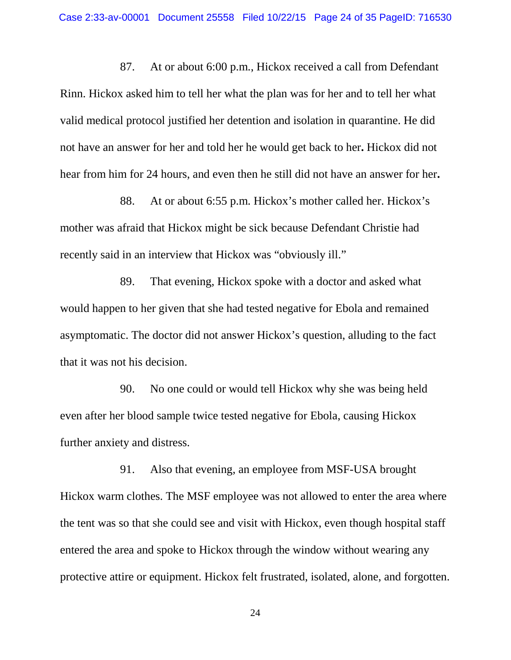87. At or about 6:00 p.m., Hickox received a call from Defendant Rinn. Hickox asked him to tell her what the plan was for her and to tell her what valid medical protocol justified her detention and isolation in quarantine. He did not have an answer for her and told her he would get back to her**.** Hickox did not hear from him for 24 hours, and even then he still did not have an answer for her**.**

88. At or about 6:55 p.m. Hickox's mother called her. Hickox's mother was afraid that Hickox might be sick because Defendant Christie had recently said in an interview that Hickox was "obviously ill."

89. That evening, Hickox spoke with a doctor and asked what would happen to her given that she had tested negative for Ebola and remained asymptomatic. The doctor did not answer Hickox's question, alluding to the fact that it was not his decision.

90. No one could or would tell Hickox why she was being held even after her blood sample twice tested negative for Ebola, causing Hickox further anxiety and distress.

91. Also that evening, an employee from MSF-USA brought Hickox warm clothes. The MSF employee was not allowed to enter the area where the tent was so that she could see and visit with Hickox, even though hospital staff entered the area and spoke to Hickox through the window without wearing any protective attire or equipment. Hickox felt frustrated, isolated, alone, and forgotten.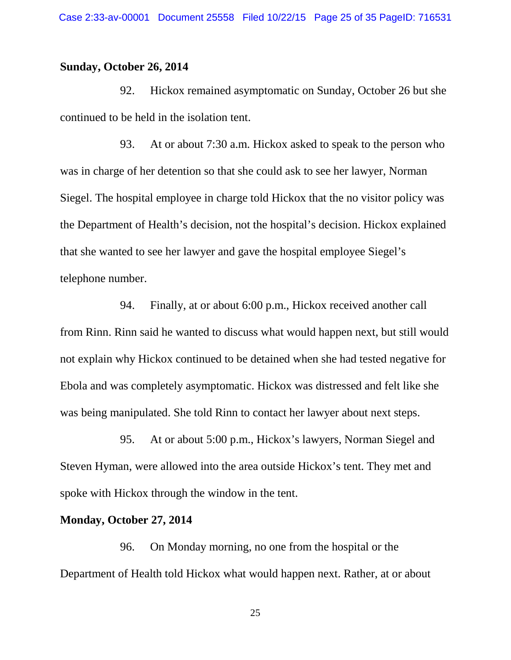### **Sunday, October 26, 2014**

92. Hickox remained asymptomatic on Sunday, October 26 but she continued to be held in the isolation tent.

93. At or about 7:30 a.m. Hickox asked to speak to the person who was in charge of her detention so that she could ask to see her lawyer, Norman Siegel. The hospital employee in charge told Hickox that the no visitor policy was the Department of Health's decision, not the hospital's decision. Hickox explained that she wanted to see her lawyer and gave the hospital employee Siegel's telephone number.

94. Finally, at or about 6:00 p.m., Hickox received another call from Rinn. Rinn said he wanted to discuss what would happen next, but still would not explain why Hickox continued to be detained when she had tested negative for Ebola and was completely asymptomatic. Hickox was distressed and felt like she was being manipulated. She told Rinn to contact her lawyer about next steps.

95. At or about 5:00 p.m., Hickox's lawyers, Norman Siegel and Steven Hyman, were allowed into the area outside Hickox's tent. They met and spoke with Hickox through the window in the tent.

## **Monday, October 27, 2014**

96. On Monday morning, no one from the hospital or the Department of Health told Hickox what would happen next. Rather, at or about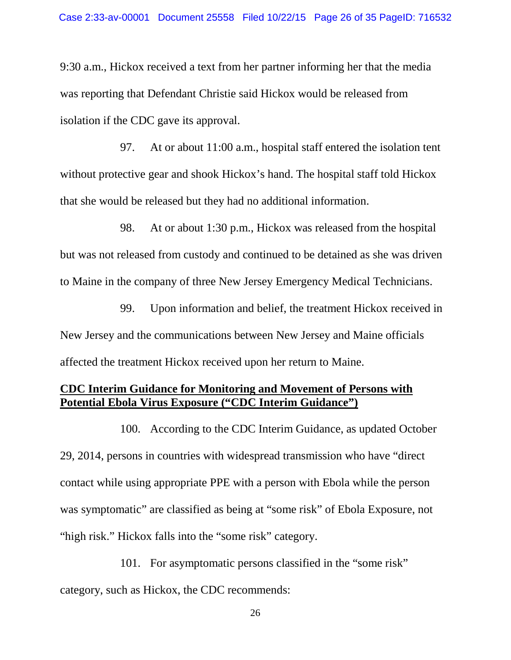9:30 a.m., Hickox received a text from her partner informing her that the media was reporting that Defendant Christie said Hickox would be released from isolation if the CDC gave its approval.

97. At or about 11:00 a.m., hospital staff entered the isolation tent without protective gear and shook Hickox's hand. The hospital staff told Hickox that she would be released but they had no additional information.

98. At or about 1:30 p.m., Hickox was released from the hospital but was not released from custody and continued to be detained as she was driven to Maine in the company of three New Jersey Emergency Medical Technicians.

99. Upon information and belief, the treatment Hickox received in New Jersey and the communications between New Jersey and Maine officials affected the treatment Hickox received upon her return to Maine.

# **CDC Interim Guidance for Monitoring and Movement of Persons with Potential Ebola Virus Exposure ("CDC Interim Guidance")**

100. According to the CDC Interim Guidance, as updated October 29, 2014, persons in countries with widespread transmission who have "direct contact while using appropriate PPE with a person with Ebola while the person was symptomatic" are classified as being at "some risk" of Ebola Exposure, not "high risk." Hickox falls into the "some risk" category.

101. For asymptomatic persons classified in the "some risk" category, such as Hickox, the CDC recommends: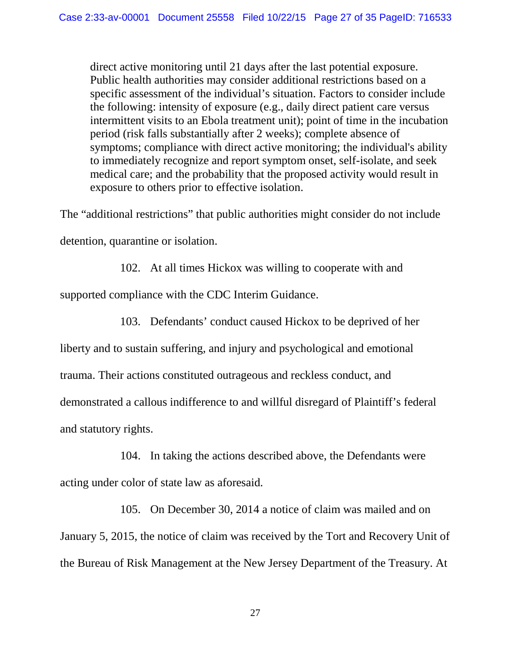direct active monitoring until 21 days after the last potential exposure. Public health authorities may consider additional restrictions based on a specific assessment of the individual's situation. Factors to consider include the following: intensity of exposure (e.g., daily direct patient care versus intermittent visits to an Ebola treatment unit); point of time in the incubation period (risk falls substantially after 2 weeks); complete absence of symptoms; compliance with direct active monitoring; the individual's ability to immediately recognize and report symptom onset, self-isolate, and seek medical care; and the probability that the proposed activity would result in exposure to others prior to effective isolation.

The "additional restrictions" that public authorities might consider do not include detention, quarantine or isolation.

102. At all times Hickox was willing to cooperate with and

supported compliance with the CDC Interim Guidance.

103. Defendants' conduct caused Hickox to be deprived of her

liberty and to sustain suffering, and injury and psychological and emotional trauma. Their actions constituted outrageous and reckless conduct, and demonstrated a callous indifference to and willful disregard of Plaintiff's federal and statutory rights.

104. In taking the actions described above, the Defendants were acting under color of state law as aforesaid.

105. On December 30, 2014 a notice of claim was mailed and on January 5, 2015, the notice of claim was received by the Tort and Recovery Unit of the Bureau of Risk Management at the New Jersey Department of the Treasury. At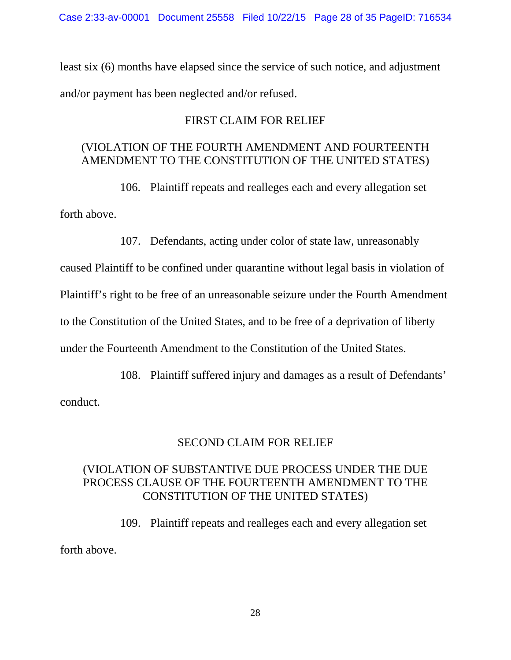least six (6) months have elapsed since the service of such notice, and adjustment and/or payment has been neglected and/or refused.

# FIRST CLAIM FOR RELIEF

# (VIOLATION OF THE FOURTH AMENDMENT AND FOURTEENTH AMENDMENT TO THE CONSTITUTION OF THE UNITED STATES)

106. Plaintiff repeats and realleges each and every allegation set forth above.

107. Defendants, acting under color of state law, unreasonably

caused Plaintiff to be confined under quarantine without legal basis in violation of

Plaintiff's right to be free of an unreasonable seizure under the Fourth Amendment

to the Constitution of the United States, and to be free of a deprivation of liberty

under the Fourteenth Amendment to the Constitution of the United States.

108. Plaintiff suffered injury and damages as a result of Defendants'

conduct.

# SECOND CLAIM FOR RELIEF

# (VIOLATION OF SUBSTANTIVE DUE PROCESS UNDER THE DUE PROCESS CLAUSE OF THE FOURTEENTH AMENDMENT TO THE CONSTITUTION OF THE UNITED STATES)

109. Plaintiff repeats and realleges each and every allegation set forth above.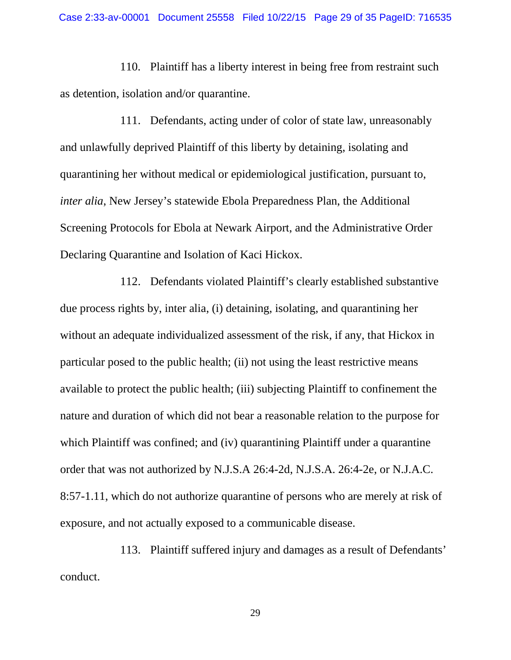110. Plaintiff has a liberty interest in being free from restraint such as detention, isolation and/or quarantine.

111. Defendants, acting under of color of state law, unreasonably and unlawfully deprived Plaintiff of this liberty by detaining, isolating and quarantining her without medical or epidemiological justification, pursuant to, *inter alia*, New Jersey's statewide Ebola Preparedness Plan, the Additional Screening Protocols for Ebola at Newark Airport, and the Administrative Order Declaring Quarantine and Isolation of Kaci Hickox.

112. Defendants violated Plaintiff's clearly established substantive due process rights by, inter alia, (i) detaining, isolating, and quarantining her without an adequate individualized assessment of the risk, if any, that Hickox in particular posed to the public health; (ii) not using the least restrictive means available to protect the public health; (iii) subjecting Plaintiff to confinement the nature and duration of which did not bear a reasonable relation to the purpose for which Plaintiff was confined; and (iv) quarantining Plaintiff under a quarantine order that was not authorized by N.J.S.A 26:4-2d, N.J.S.A. 26:4-2e, or N.J.A.C. 8:57-1.11, which do not authorize quarantine of persons who are merely at risk of exposure, and not actually exposed to a communicable disease.

113. Plaintiff suffered injury and damages as a result of Defendants' conduct.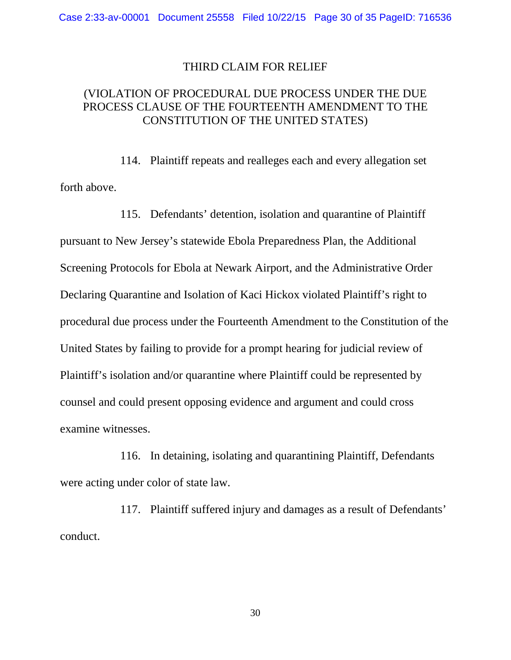#### THIRD CLAIM FOR RELIEF

## (VIOLATION OF PROCEDURAL DUE PROCESS UNDER THE DUE PROCESS CLAUSE OF THE FOURTEENTH AMENDMENT TO THE CONSTITUTION OF THE UNITED STATES)

114. Plaintiff repeats and realleges each and every allegation set forth above.

115. Defendants' detention, isolation and quarantine of Plaintiff pursuant to New Jersey's statewide Ebola Preparedness Plan, the Additional Screening Protocols for Ebola at Newark Airport, and the Administrative Order Declaring Quarantine and Isolation of Kaci Hickox violated Plaintiff's right to procedural due process under the Fourteenth Amendment to the Constitution of the United States by failing to provide for a prompt hearing for judicial review of Plaintiff's isolation and/or quarantine where Plaintiff could be represented by counsel and could present opposing evidence and argument and could cross examine witnesses.

116. In detaining, isolating and quarantining Plaintiff, Defendants were acting under color of state law.

117. Plaintiff suffered injury and damages as a result of Defendants' conduct.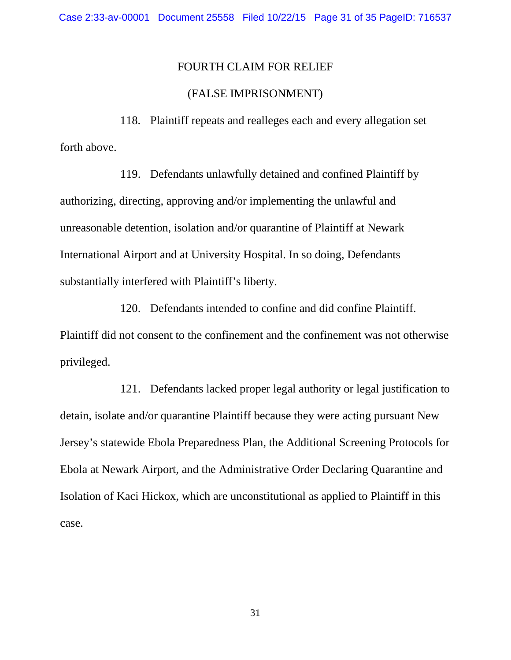### FOURTH CLAIM FOR RELIEF

### (FALSE IMPRISONMENT)

118. Plaintiff repeats and realleges each and every allegation set forth above.

119. Defendants unlawfully detained and confined Plaintiff by authorizing, directing, approving and/or implementing the unlawful and unreasonable detention, isolation and/or quarantine of Plaintiff at Newark International Airport and at University Hospital. In so doing, Defendants substantially interfered with Plaintiff's liberty.

120. Defendants intended to confine and did confine Plaintiff. Plaintiff did not consent to the confinement and the confinement was not otherwise privileged.

121. Defendants lacked proper legal authority or legal justification to detain, isolate and/or quarantine Plaintiff because they were acting pursuant New Jersey's statewide Ebola Preparedness Plan, the Additional Screening Protocols for Ebola at Newark Airport, and the Administrative Order Declaring Quarantine and Isolation of Kaci Hickox, which are unconstitutional as applied to Plaintiff in this case.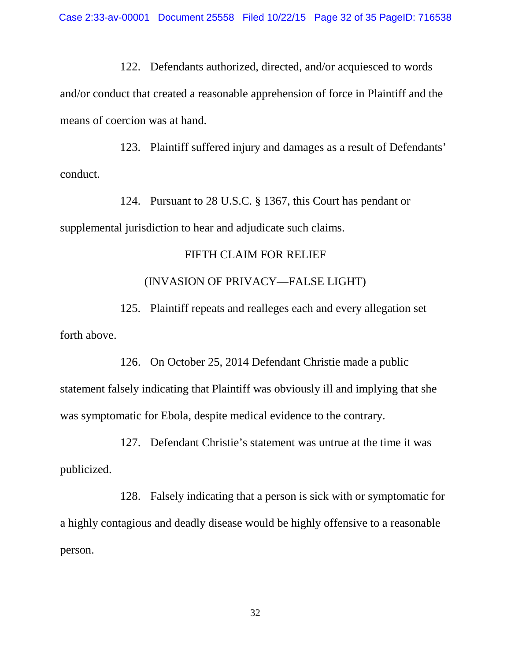122. Defendants authorized, directed, and/or acquiesced to words and/or conduct that created a reasonable apprehension of force in Plaintiff and the means of coercion was at hand.

123. Plaintiff suffered injury and damages as a result of Defendants' conduct.

124. Pursuant to 28 U.S.C. § 1367, this Court has pendant or supplemental jurisdiction to hear and adjudicate such claims.

### FIFTH CLAIM FOR RELIEF

### (INVASION OF PRIVACY—FALSE LIGHT)

125. Plaintiff repeats and realleges each and every allegation set forth above.

126. On October 25, 2014 Defendant Christie made a public statement falsely indicating that Plaintiff was obviously ill and implying that she was symptomatic for Ebola, despite medical evidence to the contrary.

127. Defendant Christie's statement was untrue at the time it was publicized.

128. Falsely indicating that a person is sick with or symptomatic for a highly contagious and deadly disease would be highly offensive to a reasonable person.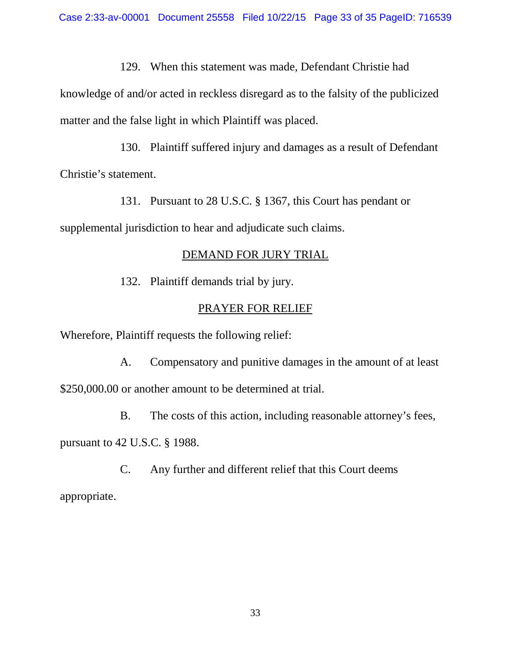129. When this statement was made, Defendant Christie had

knowledge of and/or acted in reckless disregard as to the falsity of the publicized matter and the false light in which Plaintiff was placed.

130. Plaintiff suffered injury and damages as a result of Defendant Christie's statement.

131. Pursuant to 28 U.S.C. § 1367, this Court has pendant or supplemental jurisdiction to hear and adjudicate such claims.

### DEMAND FOR JURY TRIAL

132. Plaintiff demands trial by jury.

### PRAYER FOR RELIEF

Wherefore, Plaintiff requests the following relief:

A. Compensatory and punitive damages in the amount of at least \$250,000.00 or another amount to be determined at trial.

B. The costs of this action, including reasonable attorney's fees, pursuant to 42 U.S.C. § 1988.

C. Any further and different relief that this Court deems appropriate.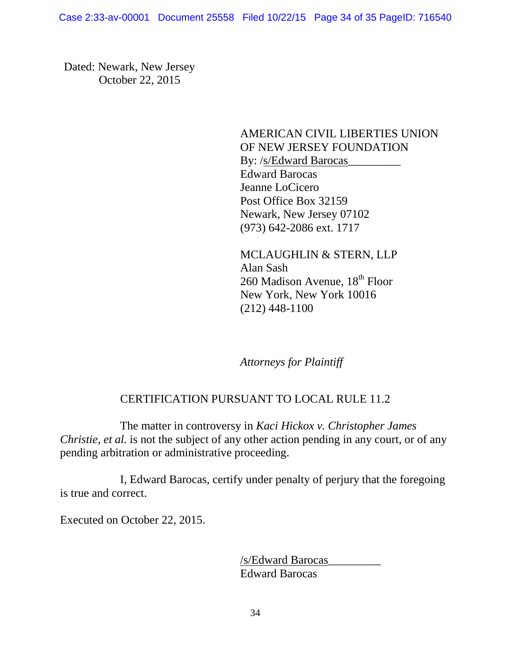Dated: Newark, New Jersey October 22, 2015

> AMERICAN CIVIL LIBERTIES UNION OF NEW JERSEY FOUNDATION By: /s/Edward Barocas\_\_\_\_\_\_\_\_\_\_\_\_ Edward Barocas Jeanne LoCicero Post Office Box 32159 Newark, New Jersey 07102 (973) 642-2086 ext. 1717

MCLAUGHLIN & STERN, LLP Alan Sash 260 Madison Avenue, 18<sup>th</sup> Floor New York, New York 10016 (212) 448-1100

*Attorneys for Plaintiff*

# CERTIFICATION PURSUANT TO LOCAL RULE 11.2

The matter in controversy in *Kaci Hickox v. Christopher James Christie, et al.* is not the subject of any other action pending in any court, or of any pending arbitration or administrative proceeding.

I, Edward Barocas, certify under penalty of perjury that the foregoing is true and correct.

Executed on October 22, 2015.

/s/Edward Barocas\_\_\_\_\_\_\_\_\_ Edward Barocas